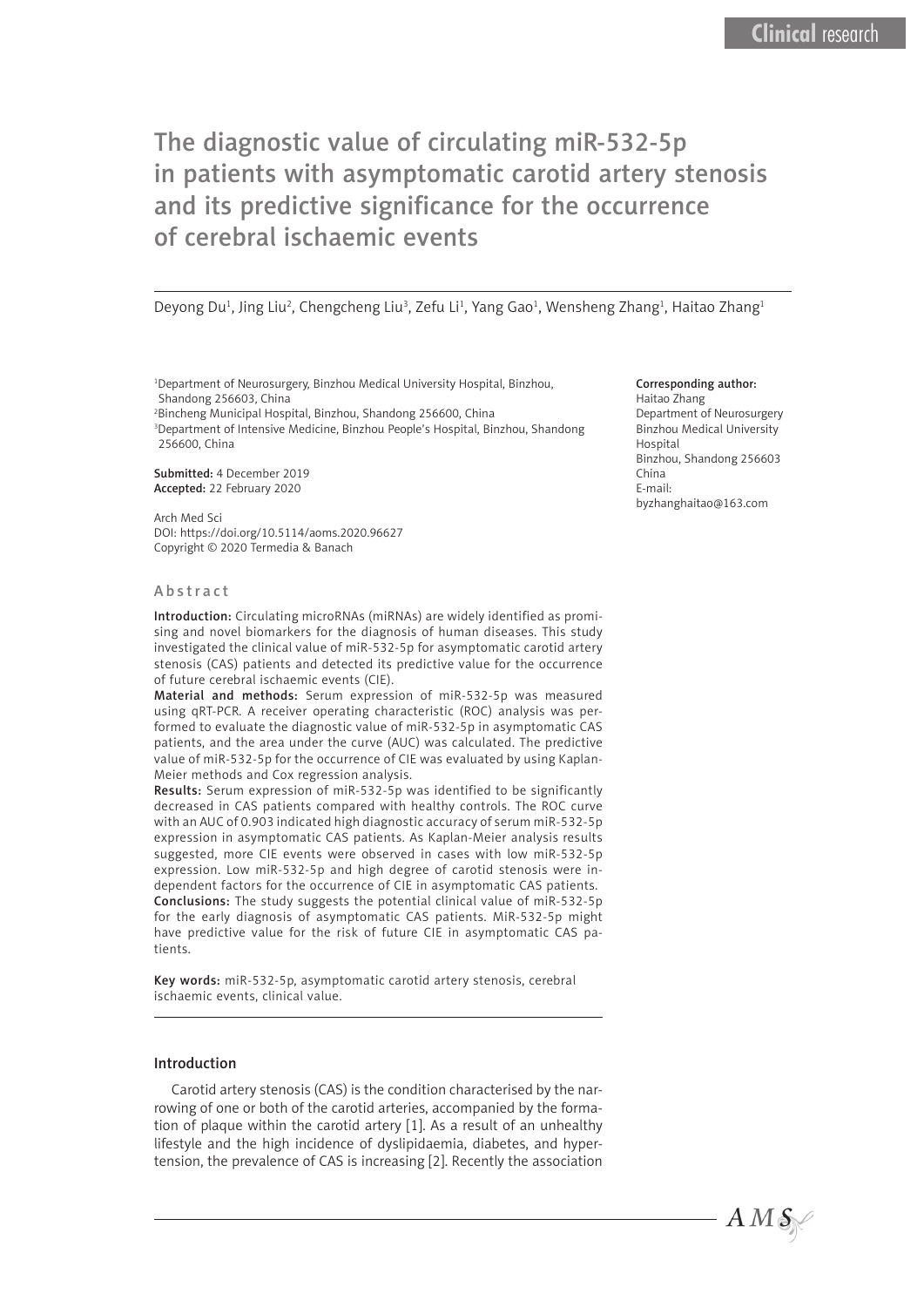Deyong Du<sup>1</sup>, Jing Liu<sup>2</sup>, Chengcheng Liu<sup>3</sup>, Zefu Li<sup>1</sup>, Yang Gao<sup>1</sup>, Wensheng Zhang<sup>1</sup>, Haitao Zhang<sup>1</sup>

1 Department of Neurosurgery, Binzhou Medical University Hospital, Binzhou, Shandong 256603, China

2 Bincheng Municipal Hospital, Binzhou, Shandong 256600, China

3 Department of Intensive Medicine, Binzhou People's Hospital, Binzhou, Shandong 256600, China

Submitted: 4 December 2019 Accepted: 22 February 2020

Arch Med Sci DOI: https://doi.org/10.5114/aoms.2020.96627 Copyright © 2020 Termedia & Banach

#### Abstract

Introduction: Circulating microRNAs (miRNAs) are widely identified as promising and novel biomarkers for the diagnosis of human diseases. This study investigated the clinical value of miR-532-5p for asymptomatic carotid artery stenosis (CAS) patients and detected its predictive value for the occurrence of future cerebral ischaemic events (CIE).

Material and methods: Serum expression of miR-532-5p was measured using qRT-PCR. A receiver operating characteristic (ROC) analysis was performed to evaluate the diagnostic value of miR-532-5p in asymptomatic CAS patients, and the area under the curve (AUC) was calculated. The predictive value of miR-532-5p for the occurrence of CIE was evaluated by using Kaplan-Meier methods and Cox regression analysis.

Results: Serum expression of miR-532-5p was identified to be significantly decreased in CAS patients compared with healthy controls. The ROC curve with an AUC of 0.903 indicated high diagnostic accuracy of serum miR-532-5p expression in asymptomatic CAS patients. As Kaplan-Meier analysis results suggested, more CIE events were observed in cases with low miR-532-5p expression. Low miR-532-5p and high degree of carotid stenosis were independent factors for the occurrence of CIE in asymptomatic CAS patients. Conclusions: The study suggests the potential clinical value of miR-532-5p for the early diagnosis of asymptomatic CAS patients. MiR-532-5p might have predictive value for the risk of future CIE in asymptomatic CAS patients.

Key words: miR-532-5p, asymptomatic carotid artery stenosis, cerebral ischaemic events, clinical value.

#### Introduction

Carotid artery stenosis (CAS) is the condition characterised by the narrowing of one or both of the carotid arteries, accompanied by the formation of plaque within the carotid artery [1]. As a result of an unhealthy lifestyle and the high incidence of dyslipidaemia, diabetes, and hypertension, the prevalence of CAS is increasing [2]. Recently the association

#### Corresponding author:

Haitao Zhang Department of Neurosurgery Binzhou Medical University Hospital Binzhou, Shandong 256603 China E-mail: byzhanghaitao@163.com

 $AMS$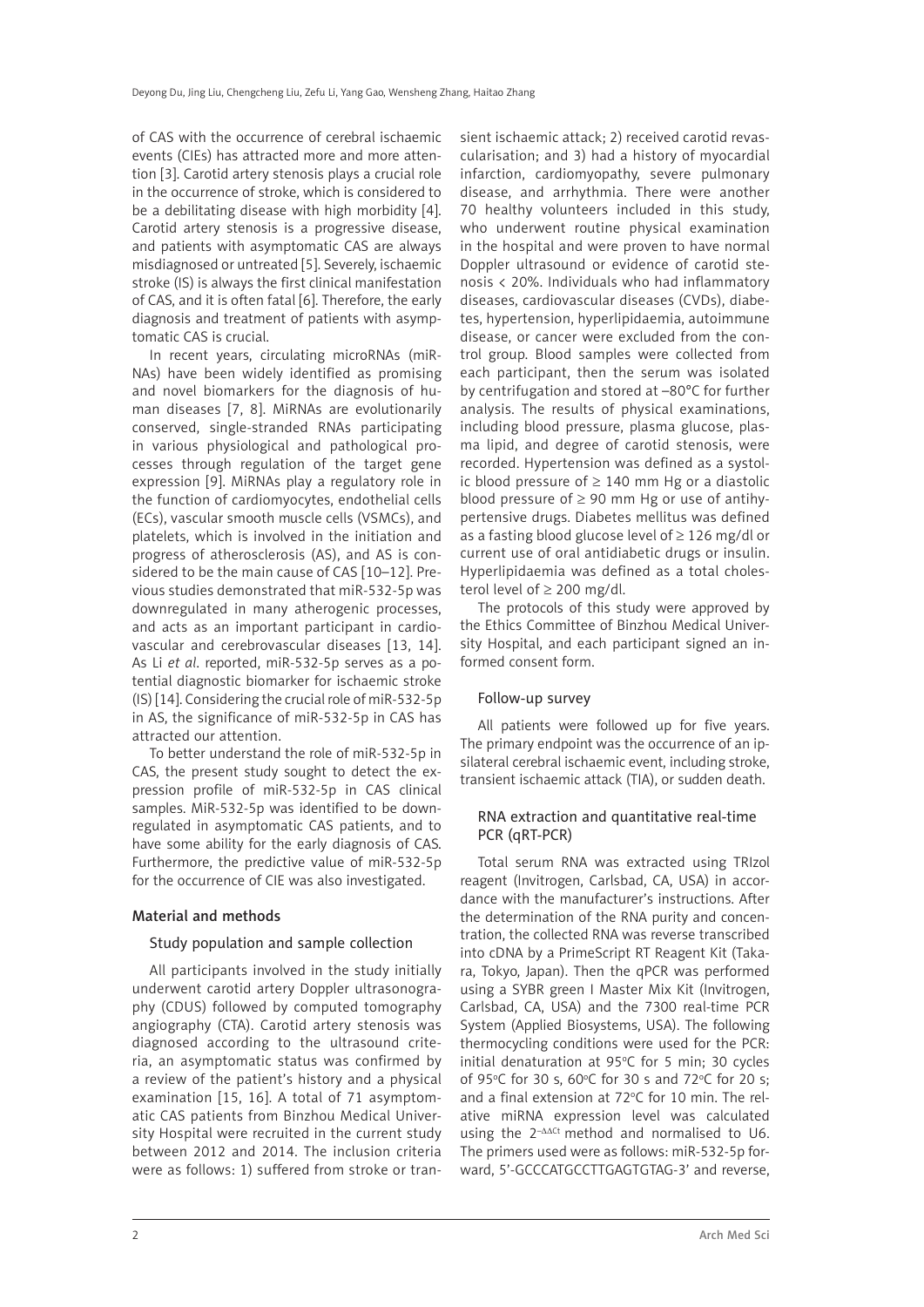of CAS with the occurrence of cerebral ischaemic events (CIEs) has attracted more and more attention [3]. Carotid artery stenosis plays a crucial role in the occurrence of stroke, which is considered to be a debilitating disease with high morbidity [4]. Carotid artery stenosis is a progressive disease, and patients with asymptomatic CAS are always misdiagnosed or untreated [5]. Severely, ischaemic stroke (IS) is always the first clinical manifestation of CAS, and it is often fatal [6]. Therefore, the early diagnosis and treatment of patients with asymptomatic CAS is crucial.

In recent years, circulating microRNAs (miR-NAs) have been widely identified as promising and novel biomarkers for the diagnosis of human diseases [7, 8]. MiRNAs are evolutionarily conserved, single-stranded RNAs participating in various physiological and pathological processes through regulation of the target gene expression [9]. MiRNAs play a regulatory role in the function of cardiomyocytes, endothelial cells (ECs), vascular smooth muscle cells (VSMCs), and platelets, which is involved in the initiation and progress of atherosclerosis (AS), and AS is considered to be the main cause of CAS [10–12]. Previous studies demonstrated that miR-532-5p was downregulated in many atherogenic processes, and acts as an important participant in cardiovascular and cerebrovascular diseases [13, 14]. As Li *et al*. reported, miR-532-5p serves as a potential diagnostic biomarker for ischaemic stroke (IS) [14]. Considering the crucial role of miR-532-5p in AS, the significance of miR-532-5p in CAS has attracted our attention.

To better understand the role of miR-532-5p in CAS, the present study sought to detect the expression profile of miR-532-5p in CAS clinical samples. MiR-532-5p was identified to be downregulated in asymptomatic CAS patients, and to have some ability for the early diagnosis of CAS. Furthermore, the predictive value of miR-532-5p for the occurrence of CIE was also investigated.

#### Material and methods

#### Study population and sample collection

All participants involved in the study initially underwent carotid artery Doppler ultrasonography (CDUS) followed by computed tomography angiography (CTA). Carotid artery stenosis was diagnosed according to the ultrasound criteria, an asymptomatic status was confirmed by a review of the patient's history and a physical examination [15, 16]. A total of 71 asymptomatic CAS patients from Binzhou Medical University Hospital were recruited in the current study between 2012 and 2014. The inclusion criteria were as follows: 1) suffered from stroke or transient ischaemic attack; 2) received carotid revascularisation; and 3) had a history of myocardial infarction, cardiomyopathy, severe pulmonary disease, and arrhythmia. There were another 70 healthy volunteers included in this study, who underwent routine physical examination in the hospital and were proven to have normal Doppler ultrasound or evidence of carotid stenosis < 20%. Individuals who had inflammatory diseases, cardiovascular diseases (CVDs), diabetes, hypertension, hyperlipidaemia, autoimmune disease, or cancer were excluded from the control group. Blood samples were collected from each participant, then the serum was isolated by centrifugation and stored at –80°C for further analysis. The results of physical examinations, including blood pressure, plasma glucose, plasma lipid, and degree of carotid stenosis, were recorded. Hypertension was defined as a systolic blood pressure of  $≥ 140$  mm Hg or a diastolic blood pressure of  $\geq$  90 mm Hg or use of antihypertensive drugs. Diabetes mellitus was defined as a fasting blood glucose level of  $\geq$  126 mg/dl or current use of oral antidiabetic drugs or insulin. Hyperlipidaemia was defined as a total cholesterol level of ≥ 200 mg/dl.

The protocols of this study were approved by the Ethics Committee of Binzhou Medical University Hospital, and each participant signed an informed consent form.

#### Follow-up survey

All patients were followed up for five years. The primary endpoint was the occurrence of an ipsilateral cerebral ischaemic event, including stroke, transient ischaemic attack (TIA), or sudden death.

#### RNA extraction and quantitative real-time PCR (qRT-PCR)

Total serum RNA was extracted using TRIzol reagent (Invitrogen, Carlsbad, CA, USA) in accordance with the manufacturer's instructions. After the determination of the RNA purity and concentration, the collected RNA was reverse transcribed into cDNA by a PrimeScript RT Reagent Kit (Takara, Tokyo, Japan). Then the qPCR was performed using a SYBR green I Master Mix Kit (Invitrogen, Carlsbad, CA, USA) and the 7300 real-time PCR System (Applied Biosystems, USA). The following thermocycling conditions were used for the PCR: initial denaturation at 95°C for 5 min; 30 cycles of 95°C for 30 s, 60°C for 30 s and 72°C for 20 s; and a final extension at 72°C for 10 min. The relative miRNA expression level was calculated using the 2<sup>-ΔΔCt</sup> method and normalised to U6. The primers used were as follows: miR-532-5p forward, 5'-GCCCATGCCTTGAGTGTAG-3' and reverse,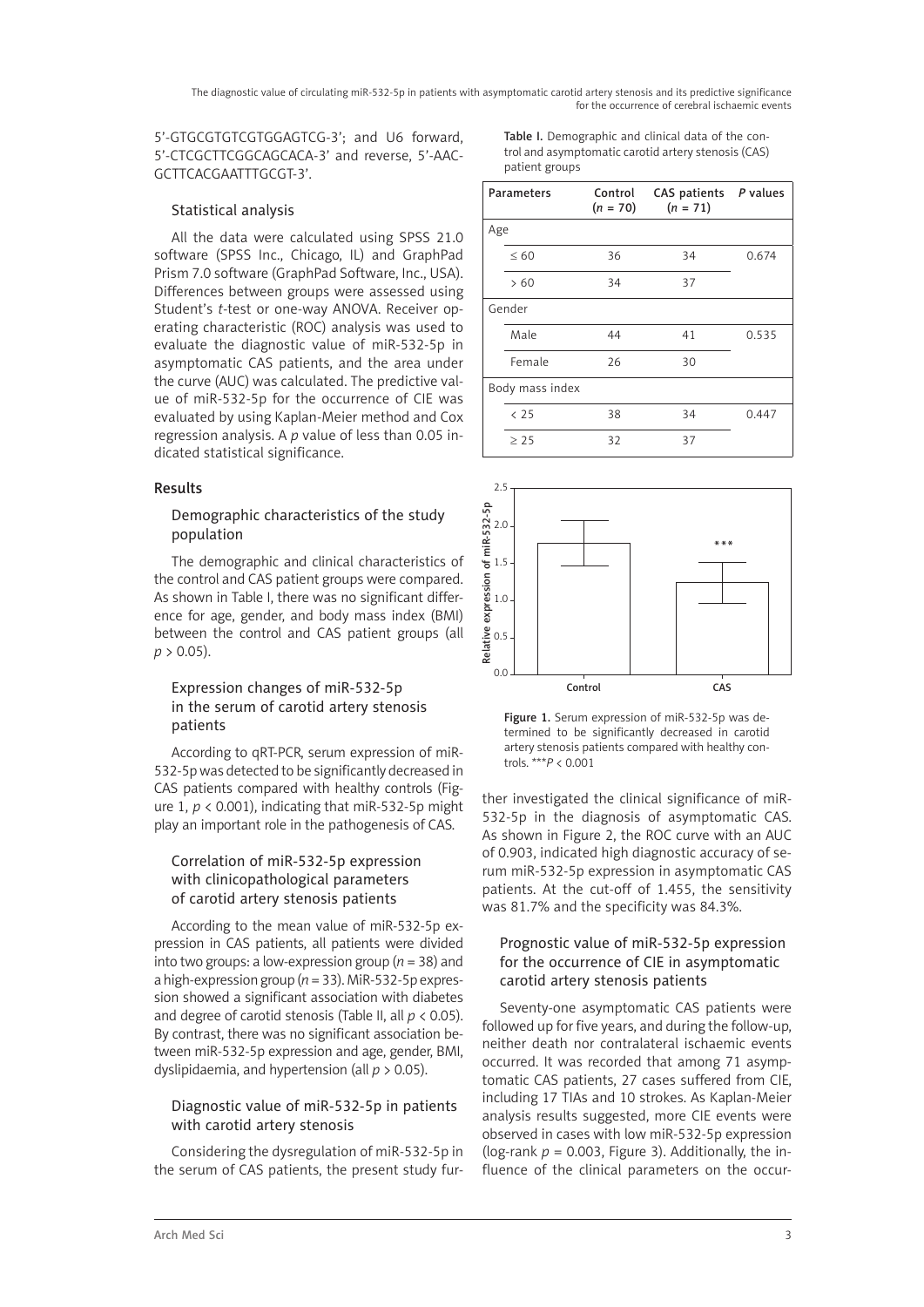5'-GTGCGTGTCGTGGAGTCG-3'; and U6 forward, 5'-CTCGCTTCGGCAGCACA-3' and reverse, 5'-AAC-GCTTCACGAATTTGCGT-3'.

#### Statistical analysis

All the data were calculated using SPSS 21.0 software (SPSS Inc., Chicago, IL) and GraphPad Prism 7.0 software (GraphPad Software, Inc., USA). Differences between groups were assessed using Student's *t*-test or one-way ANOVA. Receiver operating characteristic (ROC) analysis was used to evaluate the diagnostic value of miR-532-5p in asymptomatic CAS patients, and the area under the curve (AUC) was calculated. The predictive value of miR-532-5p for the occurrence of CIE was evaluated by using Kaplan-Meier method and Cox regression analysis. A *p* value of less than 0.05 indicated statistical significance.

#### Results

#### Demographic characteristics of the study population

The demographic and clinical characteristics of the control and CAS patient groups were compared. As shown in Table I, there was no significant difference for age, gender, and body mass index (BMI) between the control and CAS patient groups (all  $p > 0.05$ ).

### Expression changes of miR-532-5p in the serum of carotid artery stenosis patients

According to qRT-PCR, serum expression of miR-532-5p was detected to be significantly decreased in CAS patients compared with healthy controls (Figure 1,  $p < 0.001$ ), indicating that miR-532-5p might play an important role in the pathogenesis of CAS.

# Correlation of miR-532-5p expression with clinicopathological parameters of carotid artery stenosis patients

According to the mean value of miR-532-5p expression in CAS patients, all patients were divided into two groups: a low-expression group (*n* = 38) and a high-expression group (*n* = 33). MiR-532-5p expression showed a significant association with diabetes and degree of carotid stenosis (Table II, all *p* < 0.05). By contrast, there was no significant association between miR-532-5p expression and age, gender, BMI, dyslipidaemia, and hypertension (all *p* > 0.05).

## Diagnostic value of miR-532-5p in patients with carotid artery stenosis

Considering the dysregulation of miR-532-5p in the serum of CAS patients, the present study fur-

Table I. Demographic and clinical data of the control and asymptomatic carotid artery stenosis (CAS) patient groups

| Parameters      | Control<br>$(n = 70)$ | CAS patients P values<br>$(n = 71)$ |       |
|-----------------|-----------------------|-------------------------------------|-------|
| Age             |                       |                                     |       |
| $\leq 60$       | 36                    | 34                                  | 0.674 |
| >60             | 34                    | 37                                  |       |
| Gender          |                       |                                     |       |
| Male            | 44                    | 41                                  | 0.535 |
| Female          | 26                    | 30                                  |       |
| Body mass index |                       |                                     |       |
| < 25            | 38                    | 34                                  | 0.447 |
| $\geq$ 25       | 32                    | 37                                  |       |



Figure 1. Serum expression of miR-532-5p was determined to be significantly decreased in carotid artery stenosis patients compared with healthy controls. \*\*\**P* < 0.001

ther investigated the clinical significance of miR-532-5p in the diagnosis of asymptomatic CAS. As shown in Figure 2, the ROC curve with an AUC of 0.903, indicated high diagnostic accuracy of serum miR-532-5p expression in asymptomatic CAS patients. At the cut-off of 1.455, the sensitivity was 81.7% and the specificity was 84.3%.

### Prognostic value of miR-532-5p expression for the occurrence of CIE in asymptomatic carotid artery stenosis patients

Seventy-one asymptomatic CAS patients were followed up for five years, and during the follow-up, neither death nor contralateral ischaemic events occurred. It was recorded that among 71 asymptomatic CAS patients, 27 cases suffered from CIE, including 17 TIAs and 10 strokes. As Kaplan-Meier analysis results suggested, more CIE events were observed in cases with low miR-532-5p expression (log-rank  $p = 0.003$ , Figure 3). Additionally, the influence of the clinical parameters on the occur-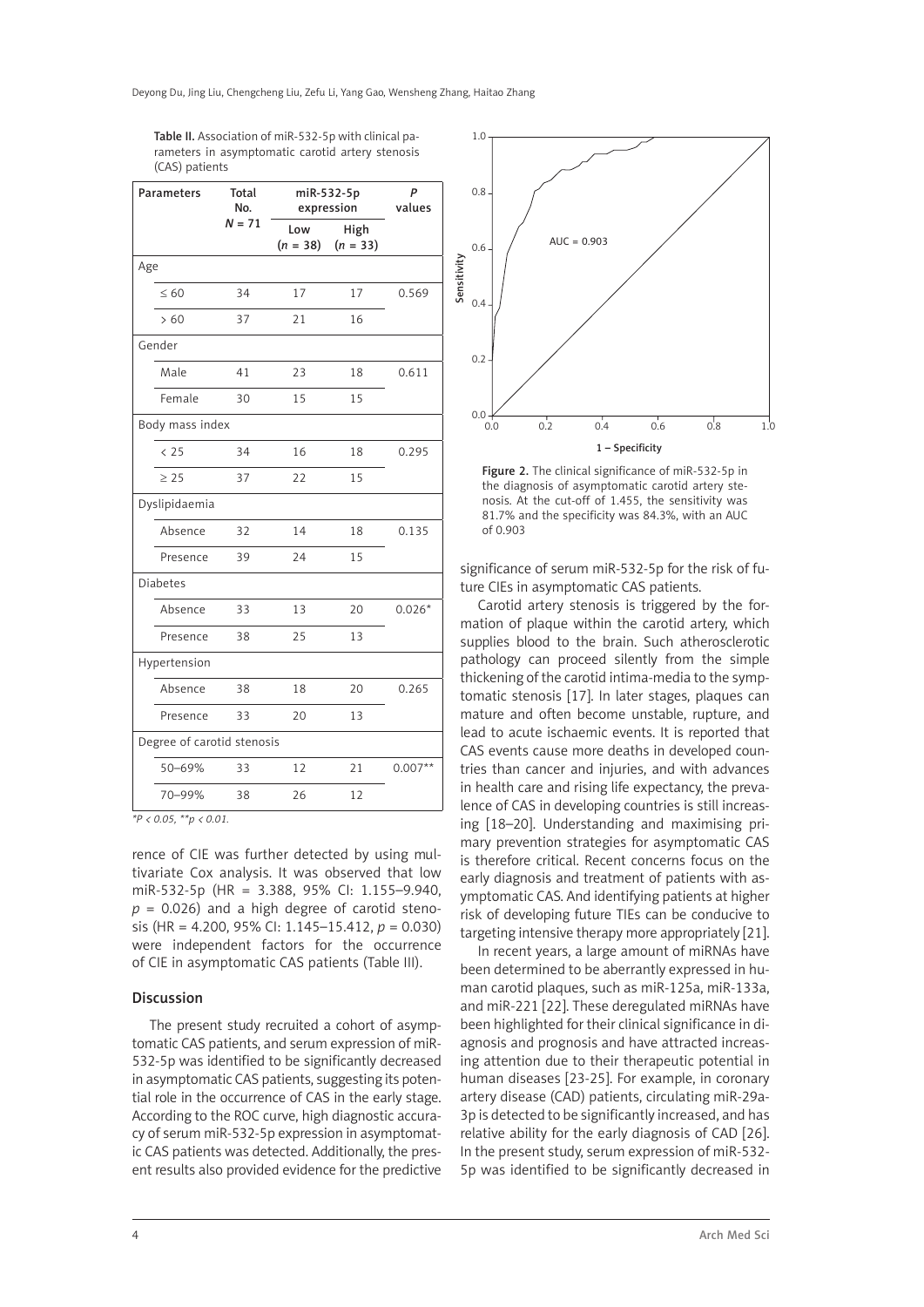| <b>Parameters</b>          | Total<br>No. | miR-532-5p<br>expression |                    | P<br>values |  |
|----------------------------|--------------|--------------------------|--------------------|-------------|--|
|                            | $N = 71$     | Low<br>$(n = 38)$        | High<br>$(n = 33)$ |             |  |
| Age                        |              |                          |                    |             |  |
| $\leq 60$                  | 34           | 17                       | 17                 | 0.569       |  |
| >60                        | 37           | 21                       | 16                 |             |  |
| Gender                     |              |                          |                    |             |  |
| Male                       | 41           | 23                       | 18                 | 0.611       |  |
| Female                     | 30           | 15                       | 15                 |             |  |
| Body mass index            |              |                          |                    |             |  |
| < 25                       | 34           | 16                       | 18                 | 0.295       |  |
| $\geq 25$                  | 37           | 22                       | 15                 |             |  |
| Dyslipidaemia              |              |                          |                    |             |  |
| Absence                    | 32           | 14                       | 18                 | 0.135       |  |
| Presence                   | 39           | 24                       | 15                 |             |  |
| <b>Diabetes</b>            |              |                          |                    |             |  |
| Absence                    | 33           | 13                       | 20                 | $0.026*$    |  |
| Presence                   | 38           | 25                       | 13                 |             |  |
| Hypertension               |              |                          |                    |             |  |
| Absence                    | 38           | 18                       | 20                 | 0.265       |  |
| Presence                   | 33           | 20                       | 13                 |             |  |
| Degree of carotid stenosis |              |                          |                    |             |  |
| 50-69%                     | 33           | 12                       | 21                 | $0.007**$   |  |
| 70-99%                     | 38           | 26                       | 12                 |             |  |

Table II. Association of miR-532-5p with clinical parameters in asymptomatic carotid artery stenosis (CAS) patients

*\*P < 0.05, \*\*p < 0.01.*

rence of CIE was further detected by using multivariate Cox analysis. It was observed that low miR-532-5p (HR = 3.388, 95% CI: 1.155–9.940,  $p = 0.026$ ) and a high degree of carotid stenosis (HR = 4.200, 95% CI: 1.145–15.412, *p* = 0.030) were independent factors for the occurrence of CIE in asymptomatic CAS patients (Table III).

#### Discussion

The present study recruited a cohort of asymptomatic CAS patients, and serum expression of miR-532-5p was identified to be significantly decreased in asymptomatic CAS patients, suggesting its potential role in the occurrence of CAS in the early stage. According to the ROC curve, high diagnostic accuracy of serum miR-532-5p expression in asymptomatic CAS patients was detected. Additionally, the present results also provided evidence for the predictive



Figure 2. The clinical significance of miR-532-5p in the diagnosis of asymptomatic carotid artery stenosis. At the cut-off of 1.455, the sensitivity was 81.7% and the specificity was 84.3%, with an AUC of 0.903

significance of serum miR-532-5p for the risk of future CIEs in asymptomatic CAS patients.

Carotid artery stenosis is triggered by the formation of plaque within the carotid artery, which supplies blood to the brain. Such atherosclerotic pathology can proceed silently from the simple thickening of the carotid intima-media to the symptomatic stenosis [17]. In later stages, plaques can mature and often become unstable, rupture, and lead to acute ischaemic events. It is reported that CAS events cause more deaths in developed countries than cancer and injuries, and with advances in health care and rising life expectancy, the prevalence of CAS in developing countries is still increasing [18–20]. Understanding and maximising primary prevention strategies for asymptomatic CAS is therefore critical. Recent concerns focus on the early diagnosis and treatment of patients with asymptomatic CAS. And identifying patients at higher risk of developing future TIEs can be conducive to targeting intensive therapy more appropriately [21].

In recent years, a large amount of miRNAs have been determined to be aberrantly expressed in human carotid plaques, such as miR-125a, miR-133a, and miR-221 [22]. These deregulated miRNAs have been highlighted for their clinical significance in diagnosis and prognosis and have attracted increasing attention due to their therapeutic potential in human diseases [23-25]. For example, in coronary artery disease (CAD) patients, circulating miR-29a-3p is detected to be significantly increased, and has relative ability for the early diagnosis of CAD [26]. In the present study, serum expression of miR-532- 5p was identified to be significantly decreased in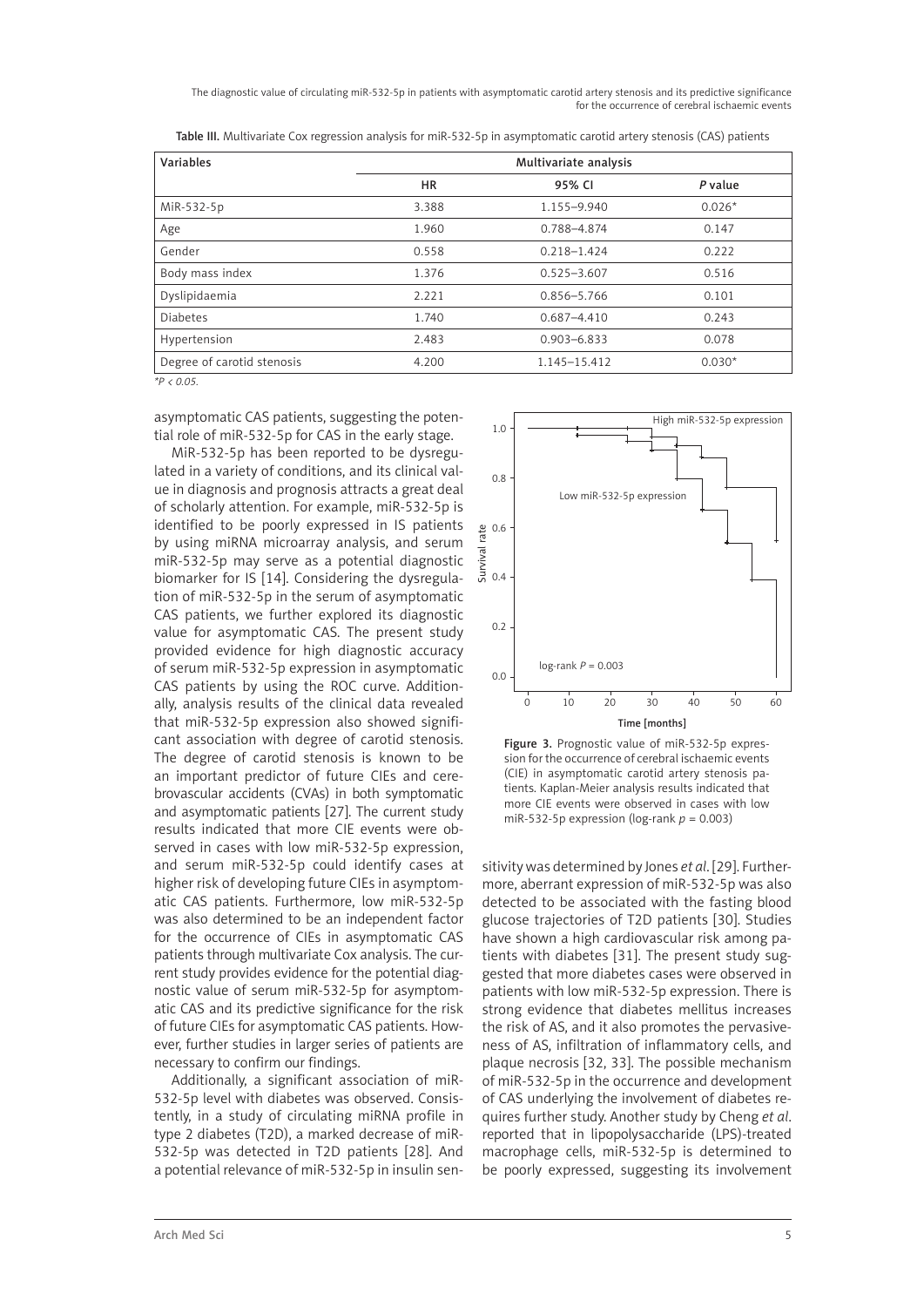| Variables                  | Multivariate analysis |                 |          |
|----------------------------|-----------------------|-----------------|----------|
|                            | <b>HR</b>             | 95% CI          | P value  |
| MiR-532-5p                 | 3.388                 | 1.155-9.940     | $0.026*$ |
| Age                        | 1.960                 | 0.788-4.874     | 0.147    |
| Gender                     | 0.558                 | $0.218 - 1.424$ | 0.222    |
| Body mass index            | 1.376                 | $0.525 - 3.607$ | 0.516    |
| Dyslipidaemia              | 2.221                 | 0.856-5.766     | 0.101    |
| <b>Diabetes</b>            | 1.740                 | $0.687 - 4.410$ | 0.243    |
| Hypertension               | 2.483                 | $0.903 - 6.833$ | 0.078    |
| Degree of carotid stenosis | 4.200                 | 1.145-15.412    | $0.030*$ |

Table III. Multivariate Cox regression analysis for miR-532-5p in asymptomatic carotid artery stenosis (CAS) patients

*\*P < 0.05.*

asymptomatic CAS patients, suggesting the potential role of miR-532-5p for CAS in the early stage.

MiR-532-5p has been reported to be dysregulated in a variety of conditions, and its clinical value in diagnosis and prognosis attracts a great deal of scholarly attention. For example, miR-532-5p is identified to be poorly expressed in IS patients by using miRNA microarray analysis, and serum miR-532-5p may serve as a potential diagnostic biomarker for IS [14]. Considering the dysregulation of miR-532-5p in the serum of asymptomatic CAS patients, we further explored its diagnostic value for asymptomatic CAS. The present study provided evidence for high diagnostic accuracy of serum miR-532-5p expression in asymptomatic CAS patients by using the ROC curve. Additionally, analysis results of the clinical data revealed that miR-532-5p expression also showed significant association with degree of carotid stenosis. The degree of carotid stenosis is known to be an important predictor of future CIEs and cerebrovascular accidents (CVAs) in both symptomatic and asymptomatic patients [27]. The current study results indicated that more CIE events were observed in cases with low miR-532-5p expression, and serum miR-532-5p could identify cases at higher risk of developing future CIEs in asymptomatic CAS patients. Furthermore, low miR-532-5p was also determined to be an independent factor for the occurrence of CIEs in asymptomatic CAS patients through multivariate Cox analysis. The current study provides evidence for the potential diagnostic value of serum miR-532-5p for asymptomatic CAS and its predictive significance for the risk of future CIEs for asymptomatic CAS patients. However, further studies in larger series of patients are necessary to confirm our findings.

Additionally, a significant association of miR-532-5p level with diabetes was observed. Consistently, in a study of circulating miRNA profile in type 2 diabetes (T2D), a marked decrease of miR-532-5p was detected in T2D patients [28]. And a potential relevance of miR-532-5p in insulin sen-



Figure 3. Prognostic value of miR-532-5p expression for the occurrence of cerebral ischaemic events (CIE) in asymptomatic carotid artery stenosis patients. Kaplan-Meier analysis results indicated that more CIE events were observed in cases with low miR-532-5p expression (log-rank *p* = 0.003)

sitivity was determined by Jones *et al*. [29]. Furthermore, aberrant expression of miR-532-5p was also detected to be associated with the fasting blood glucose trajectories of T2D patients [30]. Studies have shown a high cardiovascular risk among patients with diabetes [31]. The present study suggested that more diabetes cases were observed in patients with low miR-532-5p expression. There is strong evidence that diabetes mellitus increases the risk of AS, and it also promotes the pervasiveness of AS, infiltration of inflammatory cells, and plaque necrosis [32, 33]. The possible mechanism of miR-532-5p in the occurrence and development of CAS underlying the involvement of diabetes requires further study. Another study by Cheng *et al*. reported that in lipopolysaccharide (LPS)-treated macrophage cells, miR-532-5p is determined to be poorly expressed, suggesting its involvement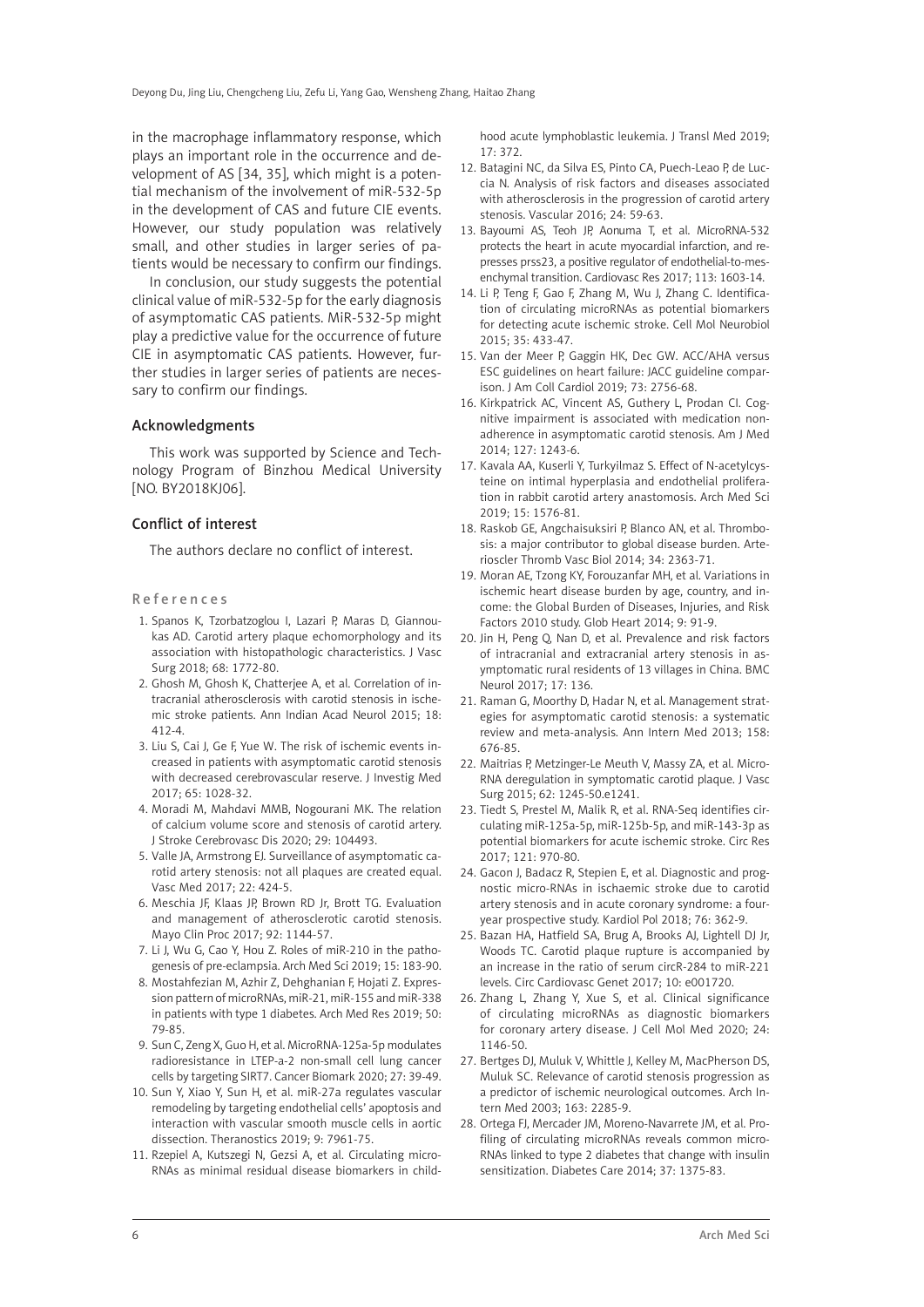in the macrophage inflammatory response, which plays an important role in the occurrence and development of AS [34, 35], which might is a potential mechanism of the involvement of miR-532-5p in the development of CAS and future CIE events. However, our study population was relatively small, and other studies in larger series of patients would be necessary to confirm our findings.

In conclusion, our study suggests the potential clinical value of miR-532-5p for the early diagnosis of asymptomatic CAS patients. MiR-532-5p might play a predictive value for the occurrence of future CIE in asymptomatic CAS patients. However, further studies in larger series of patients are necessary to confirm our findings.

#### Acknowledgments

This work was supported by Science and Technology Program of Binzhou Medical University [NO. BY2018KJ06].

#### Conflict of interest

The authors declare no conflict of interest.

#### References

- 1. Spanos K, Tzorbatzoglou I, Lazari P, Maras D, Giannoukas AD. Carotid artery plaque echomorphology and its association with histopathologic characteristics. J Vasc Surg 2018; 68: 1772-80.
- 2. Ghosh M, Ghosh K, Chatterjee A, et al. Correlation of intracranial atherosclerosis with carotid stenosis in ischemic stroke patients. Ann Indian Acad Neurol 2015; 18: 412-4.
- 3. Liu S, Cai J, Ge F, Yue W. The risk of ischemic events increased in patients with asymptomatic carotid stenosis with decreased cerebrovascular reserve. J Investig Med 2017; 65: 1028-32.
- 4. Moradi M, Mahdavi MMB, Nogourani MK. The relation of calcium volume score and stenosis of carotid artery. J Stroke Cerebrovasc Dis 2020; 29: 104493.
- 5. Valle JA, Armstrong EJ. Surveillance of asymptomatic carotid artery stenosis: not all plaques are created equal. Vasc Med 2017; 22: 424-5.
- 6. Meschia JF, Klaas JP, Brown RD Jr, Brott TG. Evaluation and management of atherosclerotic carotid stenosis. Mayo Clin Proc 2017; 92: 1144-57.
- 7. Li J, Wu G, Cao Y, Hou Z. Roles of miR-210 in the pathogenesis of pre-eclampsia. Arch Med Sci 2019; 15: 183-90.
- 8. Mostahfezian M, Azhir Z, Dehghanian F, Hojati Z. Expression pattern of microRNAs, miR-21, miR-155 and miR-338 in patients with type 1 diabetes. Arch Med Res 2019; 50: 79-85.
- 9. Sun C, Zeng X, Guo H, et al. MicroRNA-125a-5p modulates radioresistance in LTEP-a-2 non-small cell lung cancer cells by targeting SIRT7. Cancer Biomark 2020; 27: 39-49.
- 10. Sun Y, Xiao Y, Sun H, et al. miR-27a regulates vascular remodeling by targeting endothelial cells' apoptosis and interaction with vascular smooth muscle cells in aortic dissection. Theranostics 2019; 9: 7961-75.
- 11. Rzepiel A, Kutszegi N, Gezsi A, et al. Circulating micro-RNAs as minimal residual disease biomarkers in child-

hood acute lymphoblastic leukemia. J Transl Med 2019; 17: 372.

- 12. Batagini NC, da Silva ES, Pinto CA, Puech-Leao P, de Luccia N. Analysis of risk factors and diseases associated with atherosclerosis in the progression of carotid artery stenosis. Vascular 2016; 24: 59-63.
- 13. Bayoumi AS, Teoh JP, Aonuma T, et al. MicroRNA-532 protects the heart in acute myocardial infarction, and represses prss23, a positive regulator of endothelial-to-mesenchymal transition. Cardiovasc Res 2017; 113: 1603-14.
- 14. Li P, Teng F, Gao F, Zhang M, Wu J, Zhang C. Identification of circulating microRNAs as potential biomarkers for detecting acute ischemic stroke. Cell Mol Neurobiol 2015; 35: 433-47.
- 15. Van der Meer P, Gaggin HK, Dec GW. ACC/AHA versus ESC guidelines on heart failure: JACC guideline comparison. J Am Coll Cardiol 2019; 73: 2756-68.
- 16. Kirkpatrick AC, Vincent AS, Guthery L, Prodan CI. Cognitive impairment is associated with medication nonadherence in asymptomatic carotid stenosis. Am J Med 2014; 127: 1243-6.
- 17. Kavala AA, Kuserli Y, Turkyilmaz S. Effect of N-acetylcysteine on intimal hyperplasia and endothelial proliferation in rabbit carotid artery anastomosis. Arch Med Sci 2019; 15: 1576-81.
- 18. Raskob GE, Angchaisuksiri P, Blanco AN, et al. Thrombosis: a major contributor to global disease burden. Arterioscler Thromb Vasc Biol 2014; 34: 2363-71.
- 19. Moran AE, Tzong KY, Forouzanfar MH, et al. Variations in ischemic heart disease burden by age, country, and income: the Global Burden of Diseases, Injuries, and Risk Factors 2010 study. Glob Heart 2014; 9: 91-9.
- 20. Jin H, Peng Q, Nan D, et al. Prevalence and risk factors of intracranial and extracranial artery stenosis in asymptomatic rural residents of 13 villages in China. BMC Neurol 2017; 17: 136.
- 21. Raman G, Moorthy D, Hadar N, et al. Management strategies for asymptomatic carotid stenosis: a systematic review and meta-analysis. Ann Intern Med 2013; 158: 676-85.
- 22. Maitrias P, Metzinger-Le Meuth V, Massy ZA, et al. Micro-RNA deregulation in symptomatic carotid plaque. J Vasc Surg 2015; 62: 1245-50.e1241.
- 23. Tiedt S, Prestel M, Malik R, et al. RNA-Seq identifies circulating miR-125a-5p, miR-125b-5p, and miR-143-3p as potential biomarkers for acute ischemic stroke. Circ Res 2017; 121: 970-80.
- 24. Gacon J, Badacz R, Stepien E, et al. Diagnostic and prognostic micro-RNAs in ischaemic stroke due to carotid artery stenosis and in acute coronary syndrome: a fouryear prospective study. Kardiol Pol 2018; 76: 362-9.
- 25. Bazan HA, Hatfield SA, Brug A, Brooks AJ, Lightell DJ Jr, Woods TC. Carotid plaque rupture is accompanied by an increase in the ratio of serum circR-284 to miR-221 levels. Circ Cardiovasc Genet 2017; 10: e001720.
- 26. Zhang L, Zhang Y, Xue S, et al. Clinical significance of circulating microRNAs as diagnostic biomarkers for coronary artery disease. J Cell Mol Med 2020; 24: 1146-50.
- 27. Bertges DJ, Muluk V, Whittle J, Kelley M, MacPherson DS, Muluk SC. Relevance of carotid stenosis progression as a predictor of ischemic neurological outcomes. Arch Intern Med 2003; 163: 2285-9.
- 28. Ortega FJ, Mercader JM, Moreno-Navarrete JM, et al. Profiling of circulating microRNAs reveals common micro-RNAs linked to type 2 diabetes that change with insulin sensitization. Diabetes Care 2014; 37: 1375-83.